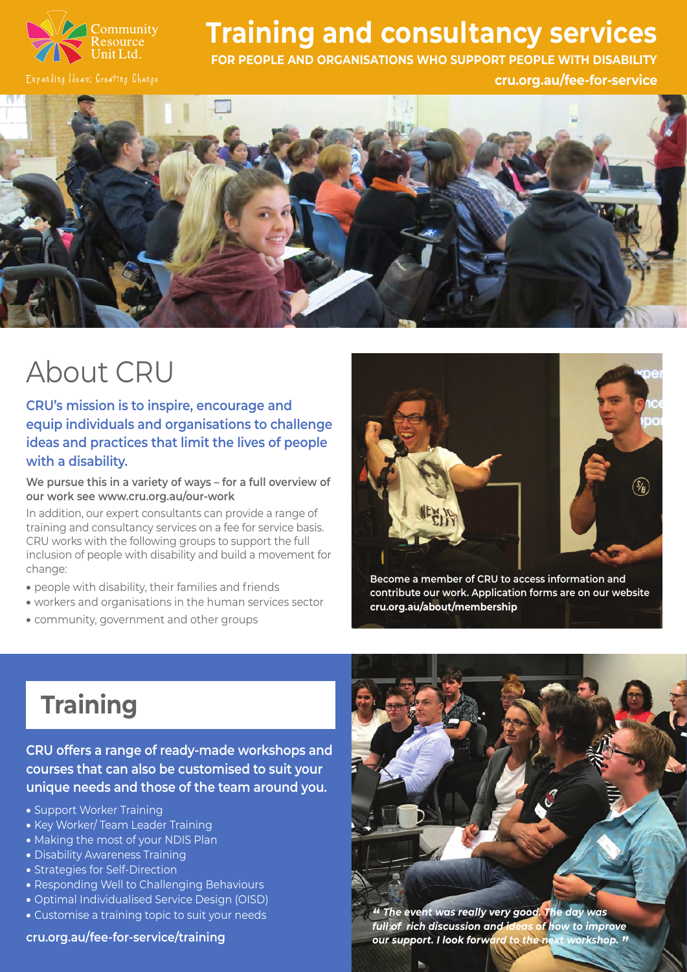

### **Training and consultancy services**

**FOR PEOPLE AND ORGANISATIONS WHO SUPPORT PEOPLE WITH DISABILITY** 

**[cru.org.au/fee-for-service](http://cru.org.au/fee-for-service )** 



# About CRU

**CRU's mission is to inspire, encourage and equip individuals and organisations to challenge ideas and practices that limit the lives of people with a disability.** 

**We pursue this in a variety of ways – for a full overview of our work see [www.cru.org.au/our-work](http://www.cru.org.au/our-work)** 

In addition, our expert consultants can provide a range of training and consultancy services on a fee for service basis. CRU works with the following groups to support the full inclusion of people with disability and build a movement for change:

- people with disability, their families and friends
- workers and organisations in the human services sector
- community, government and other groups



**Become a member of CRU to access information and contribute our work. Application forms are on our website [cru.org.au/about/membership](http://cru.org.au/about/membership )** 

## **Training**

**CRU offers a range of ready-made workshops and courses that can also be customised to suit your unique needs and those of the team around you.** 

- Support Worker Training
- Key Worker/ Team Leader Training
- Making the most of your NDIS Plan
- Disability Awareness Training
- Strategies for Self-Direction
- Responding Well to Challenging Behaviours
- Optimal Individualised Service Design (OISD)
-